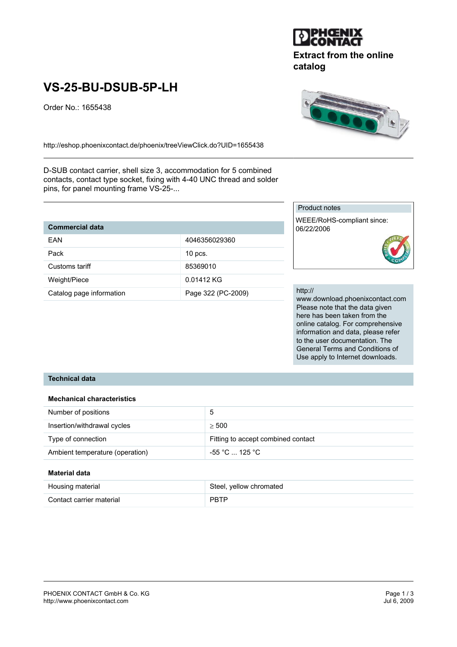

# **Extract from the online catalog**

# **VS-25-BU-DSUB-5P-LH**

Order No.: 1655438



http://eshop.phoenixcontact.de/phoenix/treeViewClick.do?UID=1655438

D-SUB contact carrier, shell size 3, accommodation for 5 combined contacts, contact type socket, fixing with 4-40 UNC thread and solder pins, for panel mounting frame VS-25-...

| <b>Commercial data</b>   |                    |
|--------------------------|--------------------|
| FAN                      | 4046356029360      |
| Pack                     | $10$ pcs.          |
| Customs tariff           | 85369010           |
| Weight/Piece             | 0.01412 KG         |
| Catalog page information | Page 322 (PC-2009) |

# Product notes

WEEE/RoHS-compliant since: 06/22/2006



#### http://

www.download.phoenixcontact.com Please note that the data given here has been taken from the online catalog. For comprehensive information and data, please refer to the user documentation. The General Terms and Conditions of Use apply to Internet downloads.

# **Technical data**

#### **Mechanical characteristics**

| Number of positions             | 5                                  |
|---------------------------------|------------------------------------|
| Insertion/withdrawal cycles     | > 500                              |
| Type of connection              | Fitting to accept combined contact |
| Ambient temperature (operation) | -55 °C  125 °C                     |

#### **Material data**

| Housing material         | Steel, yellow chromated |
|--------------------------|-------------------------|
| Contact carrier material | <b>PBTP</b>             |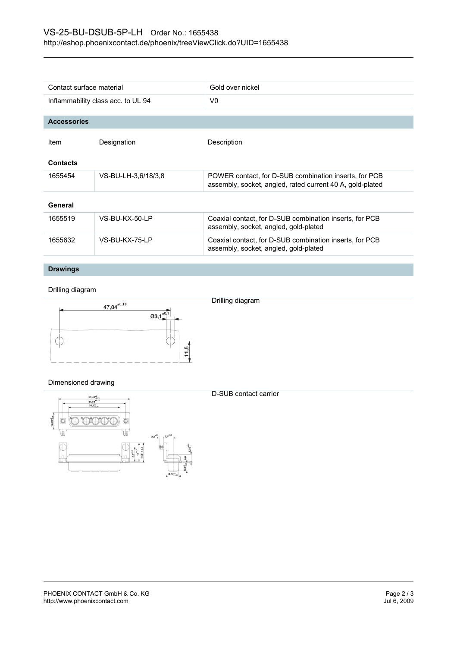| Contact surface material           |                     | Gold over nickel                                                                                                   |  |
|------------------------------------|---------------------|--------------------------------------------------------------------------------------------------------------------|--|
| Inflammability class acc. to UL 94 |                     | V <sub>0</sub>                                                                                                     |  |
|                                    |                     |                                                                                                                    |  |
| <b>Accessories</b>                 |                     |                                                                                                                    |  |
| Item                               | Designation         | Description                                                                                                        |  |
| <b>Contacts</b>                    |                     |                                                                                                                    |  |
| 1655454                            | VS-BU-LH-3,6/18/3,8 | POWER contact, for D-SUB combination inserts, for PCB<br>assembly, socket, angled, rated current 40 A, gold-plated |  |
| General                            |                     |                                                                                                                    |  |
| 1655519                            | VS-BU-KX-50-LP      | Coaxial contact, for D-SUB combination inserts, for PCB<br>assembly, socket, angled, gold-plated                   |  |
| 1655632                            | VS-BU-KX-75-LP      | Coaxial contact, for D-SUB combination inserts, for PCB<br>assembly, socket, angled, gold-plated                   |  |

# **Drawings**

# Drilling diagram



# Dimensioned drawing



D-SUB contact carrier